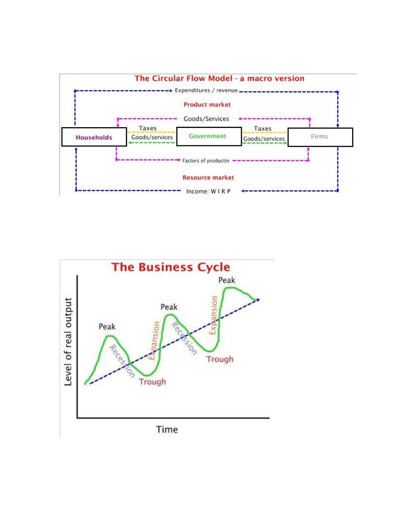

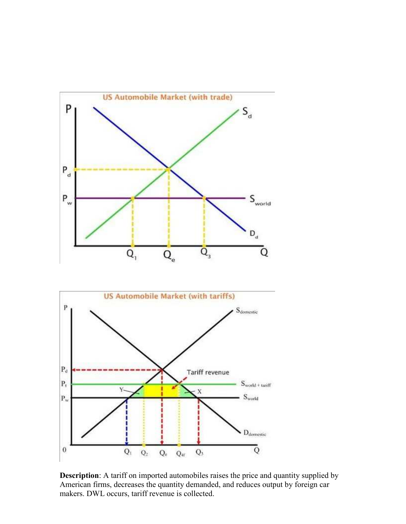

**Description**: A tariff on imported automobiles raises the price and quantity supplied by American firms, decreases the quantity demanded, and reduces output by foreign car makers. DWL occurs, tariff revenue is collected.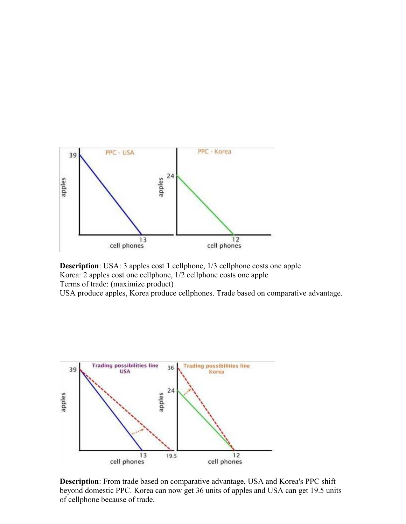

**Description**: USA: 3 apples cost 1 cellphone, 1/3 cellphone costs one apple Korea: 2 apples cost one cellphone, 1/2 cellphone costs one apple Terms of trade: (maximize product) USA produce apples, Korea produce cellphones. Trade based on comparative advantage.



**Description**: From trade based on comparative advantage, USA and Korea's PPC shift beyond domestic PPC. Korea can now get 36 units of apples and USA can get 19.5 units of cellphone because of trade.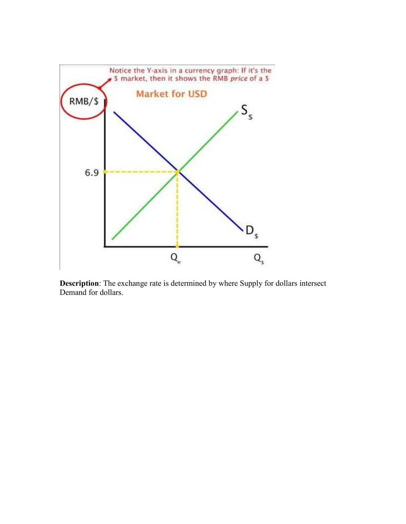

**Description**: The exchange rate is determined by where Supply for dollars intersect Demand for dollars.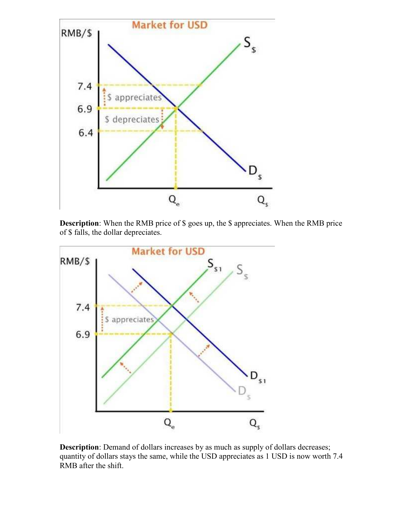

**Description**: When the RMB price of \$ goes up, the \$ appreciates. When the RMB price of \$ falls, the dollar depreciates.



**Description**: Demand of dollars increases by as much as supply of dollars decreases; quantity of dollars stays the same, while the USD appreciates as 1 USD is now worth 7.4 RMB after the shift.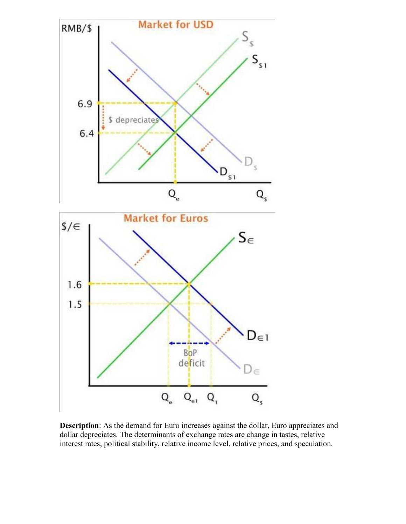

**Description**: As the demand for Euro increases against the dollar, Euro appreciates and dollar depreciates. The determinants of exchange rates are change in tastes, relative interest rates, political stability, relative income level, relative prices, and speculation.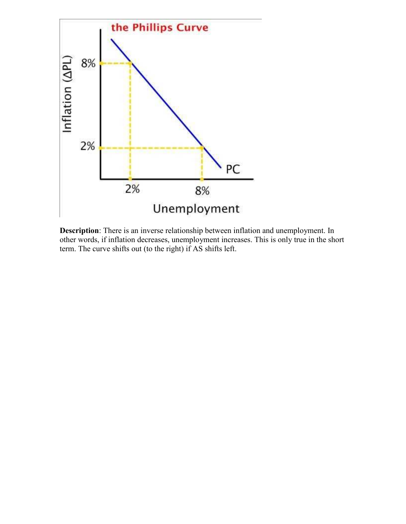

**Description**: There is an inverse relationship between inflation and unemployment. In other words, if inflation decreases, unemployment increases. This is only true in the short term. The curve shifts out (to the right) if AS shifts left.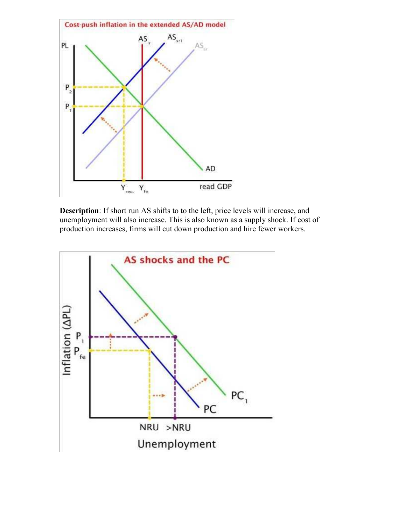

**Description**: If short run AS shifts to to the left, price levels will increase, and unemployment will also increase. This is also known as a supply shock. If cost of production increases, firms will cut down production and hire fewer workers.

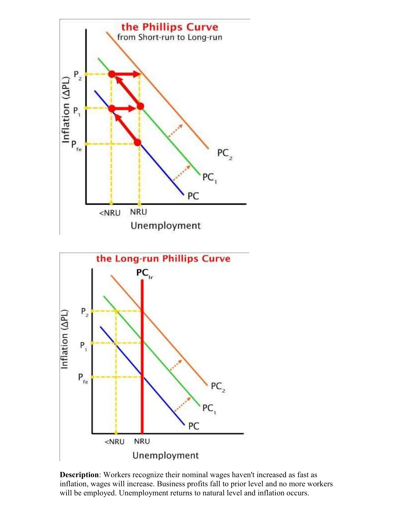

**Description**: Workers recognize their nominal wages haven't increased as fast as inflation, wages will increase. Business profits fall to prior level and no more workers will be employed. Unemployment returns to natural level and inflation occurs.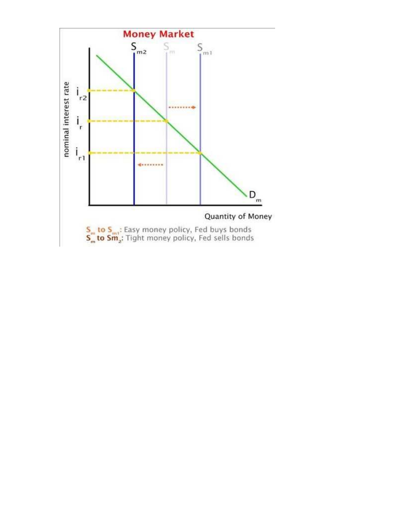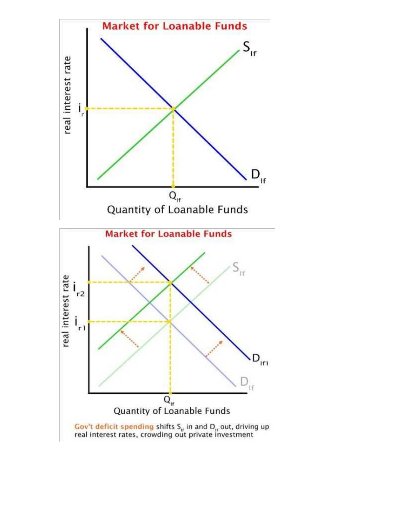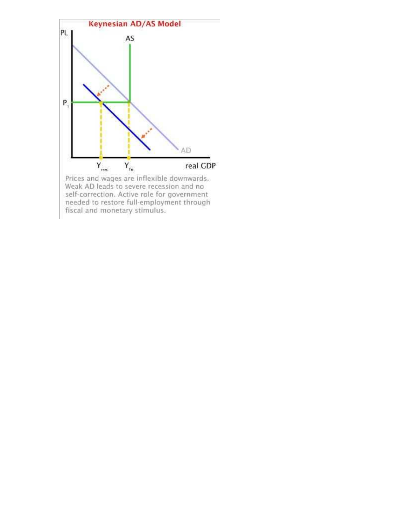

Prices and wages are inflexible downwards.<br>Weak AD leads to severe recession and no<br>self-correction. Active role for government<br>needed to restore full-employment through<br>fiscal and monetary stimulus.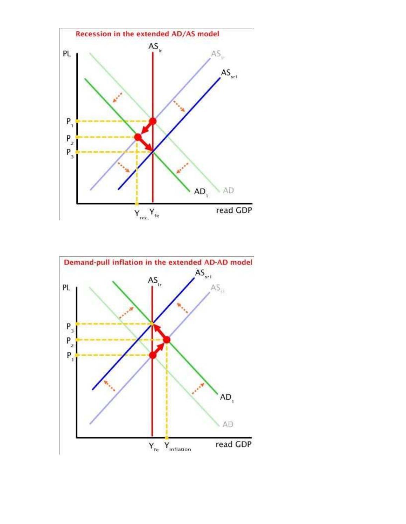

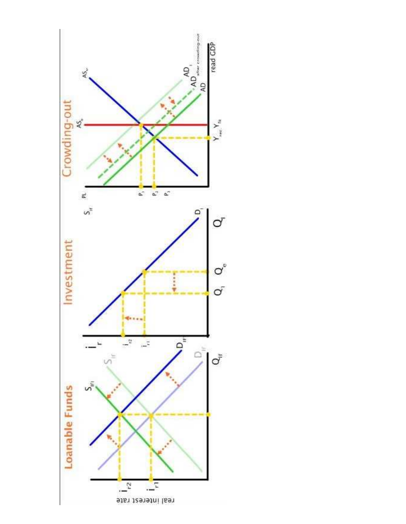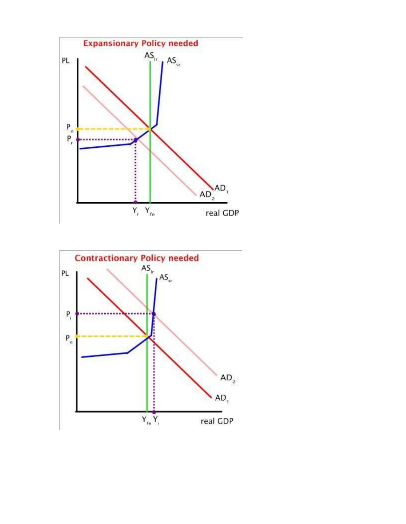

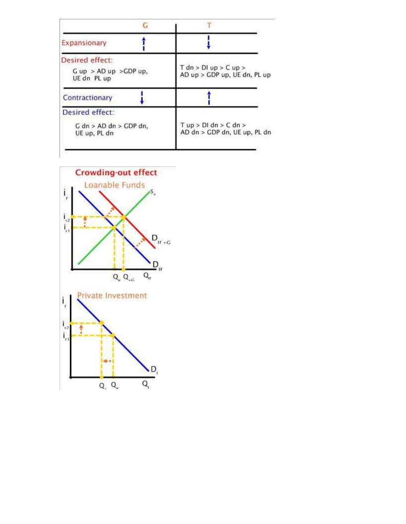| C.                                                             |                                                         |
|----------------------------------------------------------------|---------------------------------------------------------|
| Expansionary                                                   |                                                         |
| Desired effect:<br>$G$ up $>$ AD up $>$ GDP up,<br>UE dn PL up | $T$ dn > DI up > C up ><br>AD up > GDP up, UE dn, PL up |
| Contractionary                                                 |                                                         |
| Desired effect:                                                |                                                         |
| $G$ dn > AD dn > GDP dn,<br>UE up, PL dn                       | $T$ up > DI dn > C dn ><br>AD dn > GDP dn, UE up, PL dn |
|                                                                |                                                         |

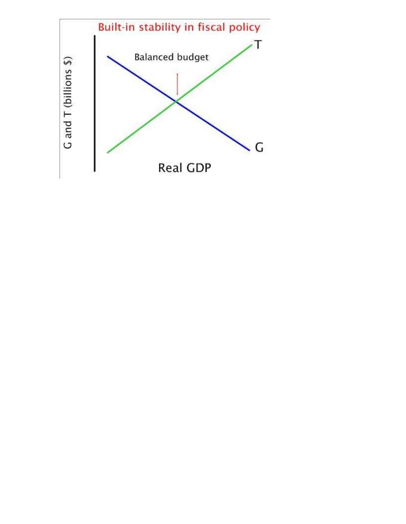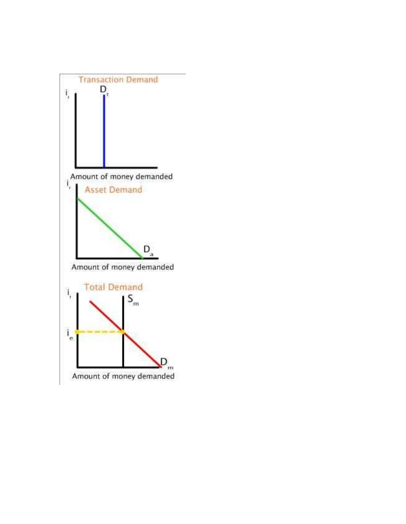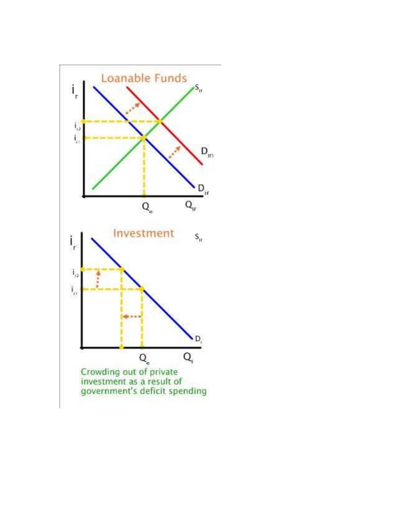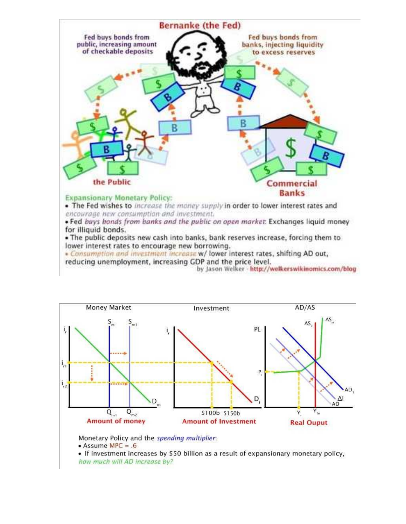

. Consumption and investment increase w/ lower interest rates, shifting AD out, reducing unemployment, increasing GDP and the price level.

by Jason Welker - http://welkerswikinomics.com/blog



Monetary Policy and the spending multiplier:

• Assume MPC =  $.6$ 

• If investment increases by \$50 billion as a result of expansionary monetary policy, how much will AD increase by?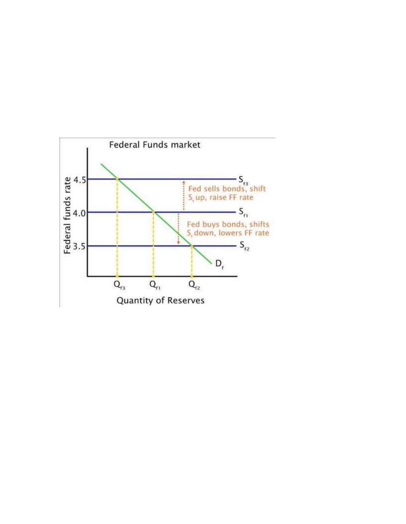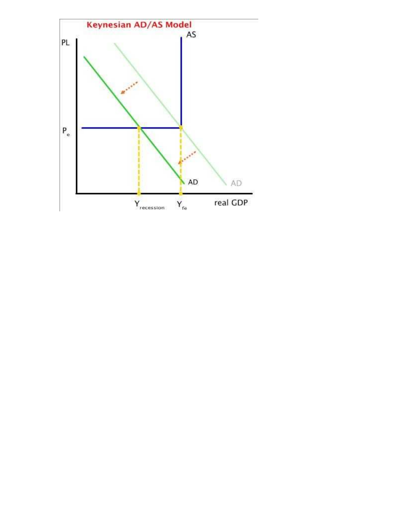